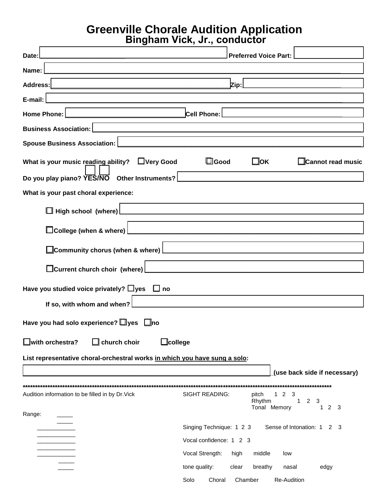## **Greenville Chorale Audition Application**

| UIVUIV<br>Bingham Vick, Jr., conductor                                                                                         |                                                                                                                                         |
|--------------------------------------------------------------------------------------------------------------------------------|-----------------------------------------------------------------------------------------------------------------------------------------|
| Date:                                                                                                                          | <b>Preferred Voice Part:</b>                                                                                                            |
| Name:<br><u> 1980 - Johann Barn, mars ann an t-Amhain an t-Amhain an t-Amhain an t-Amhain an t-Amhain an t-Amhain an t-Amh</u> |                                                                                                                                         |
| <b>Address:</b>                                                                                                                | Zip:                                                                                                                                    |
| E-mail:                                                                                                                        |                                                                                                                                         |
| <b>Home Phone:</b>                                                                                                             | Cell Phone:                                                                                                                             |
| <b>Business Association:</b>                                                                                                   |                                                                                                                                         |
| <b>Spouse Business Association:</b>                                                                                            |                                                                                                                                         |
| What is your music reading ability?<br>□Very Good                                                                              | $\square$ Good<br>$\square$ ok<br>□Cannot read music                                                                                    |
| Do you play piano? YES/NO Other Instruments?                                                                                   |                                                                                                                                         |
| What is your past choral experience:                                                                                           |                                                                                                                                         |
| $\Box$ High school (where)                                                                                                     | <u> 1980 - Andrea Andrew Maria (h. 1980).</u>                                                                                           |
| □College (when & where)                                                                                                        |                                                                                                                                         |
| $\,$ Community chorus (when & where) $\,$                                                                                      |                                                                                                                                         |
| $\Box$ Current church choir (where)                                                                                            |                                                                                                                                         |
| Have you studied voice privately? $\Box$ yes $\Box$ no                                                                         |                                                                                                                                         |
| If so, with whom and when?                                                                                                     |                                                                                                                                         |
| Have you had solo experience? $\Box$ yes $\Box$ no                                                                             |                                                                                                                                         |
| $\Box$ with orchestra?<br>$\mathbb I$ church choir<br>$\square$ college                                                        |                                                                                                                                         |
| List representative choral-orchestral works in which you have sung a solo:                                                     |                                                                                                                                         |
|                                                                                                                                | (use back side if necessary)                                                                                                            |
| Audition information to be filled in by Dr. Vick                                                                               | <b>SIGHT READING:</b><br>pitch<br>2<br>3<br>1.<br>Rhythm<br>$\overline{2}$<br>3<br>$\mathbf{1}$<br>Tonal Memory<br>2 <sub>3</sub><br>1. |
| Range:                                                                                                                         |                                                                                                                                         |
|                                                                                                                                | Sense of Intonation: 1<br>Singing Technique: 1 2 3<br>2 3<br>Vocal confidence: 1 2 3                                                    |
|                                                                                                                                | Vocal Strength:<br>middle<br>high<br>low                                                                                                |
|                                                                                                                                | tone quality:<br>clear<br>breathy<br>edgy<br>nasal                                                                                      |
|                                                                                                                                | Re-Audition<br>Solo<br>Choral<br>Chamber                                                                                                |